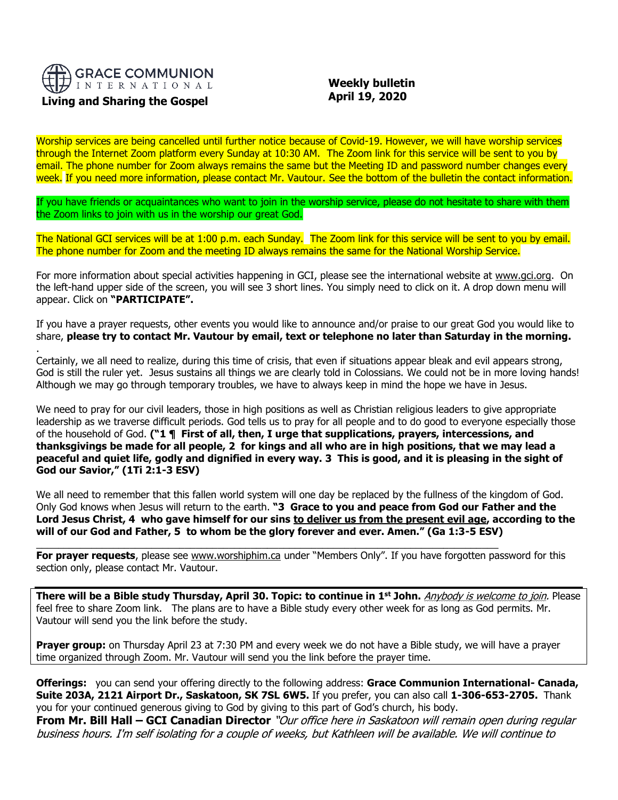

## **Living and Sharing the Gospel**

.

 **Weekly bulletin April 19, 2020**

Worship services are being cancelled until further notice because of Covid-19. However, we will have worship services through the Internet Zoom platform every Sunday at 10:30 AM. The Zoom link for this service will be sent to you by email. The phone number for Zoom always remains the same but the Meeting ID and password number changes every week. If you need more information, please contact Mr. Vautour. See the bottom of the bulletin the contact information.

If you have friends or acquaintances who want to join in the worship service, please do not hesitate to share with them the Zoom links to join with us in the worship our great God.

The National GCI services will be at 1:00 p.m. each Sunday. The Zoom link for this service will be sent to you by email. The phone number for Zoom and the meeting ID always remains the same for the National Worship Service.

For more information about special activities happening in GCI, please see the international website at [www.gci.org.](http://www.gci.org/) On the left-hand upper side of the screen, you will see 3 short lines. You simply need to click on it. A drop down menu will appear. Click on **"PARTICIPATE".** 

If you have a prayer requests, other events you would like to announce and/or praise to our great God you would like to share, **please try to contact Mr. Vautour by email, text or telephone no later than Saturday in the morning.**

Certainly, we all need to realize, during this time of crisis, that even if situations appear bleak and evil appears strong, God is still the ruler yet. Jesus sustains all things we are clearly told in Colossians. We could not be in more loving hands! Although we may go through temporary troubles, we have to always keep in mind the hope we have in Jesus.

We need to pray for our civil leaders, those in high positions as well as Christian religious leaders to give appropriate leadership as we traverse difficult periods. God tells us to pray for all people and to do good to everyone especially those of the household of God. **("1 ¶ First of all, then, I urge that supplications, prayers, intercessions, and thanksgivings be made for all people, 2 for kings and all who are in high positions, that we may lead a peaceful and quiet life, godly and dignified in every way. 3 This is good, and it is pleasing in the sight of God our Savior," (1Ti 2:1-3 ESV)**

We all need to remember that this fallen world system will one day be replaced by the fullness of the kingdom of God. Only God knows when Jesus will return to the earth. **"3 Grace to you and peace from God our Father and the Lord Jesus Christ, 4 who gave himself for our sins to deliver us from the present evil age, according to the will of our God and Father, 5 to whom be the glory forever and ever. Amen." (Ga 1:3-5 ESV)**

For prayer requests, please see [www.worshiphim.ca](http://www.worshiphim.ca/) under "Members Only". If you have forgotten password for this section only, please contact Mr. Vautour.

 $\_$  , and the set of the set of the set of the set of the set of the set of the set of the set of the set of the set of the set of the set of the set of the set of the set of the set of the set of the set of the set of th

**There will be a Bible study Thursday, April 30. Topic: to continue in 1 st John.** Anybody is welcome to join. Please feel free to share Zoom link. The plans are to have a Bible study every other week for as long as God permits. Mr. Vautour will send you the link before the study.

**Prayer group:** on Thursday April 23 at 7:30 PM and every week we do not have a Bible study, we will have a prayer time organized through Zoom. Mr. Vautour will send you the link before the prayer time.

**Offerings:** you can send your offering directly to the following address: **Grace Communion International- Canada, Suite 203A, 2121 Airport Dr., Saskatoon, SK 7SL 6W5.** If you prefer, you can also call **1-306-653-2705.** Thank you for your continued generous giving to God by giving to this part of God's church, his body. **From Mr. Bill Hall – GCI Canadian Director** "Our office here in Saskatoon will remain open during regular

business hours. I'm self isolating for a couple of weeks, but Kathleen will be available. We will continue to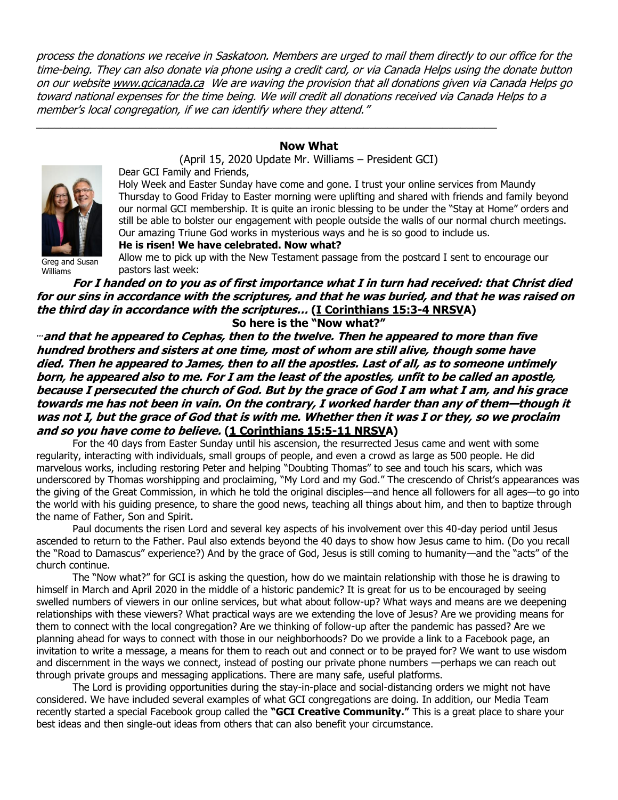process the donations we receive in Saskatoon. Members are urged to mail them directly to our office for the time-being. They can also donate via phone using a credit card, or via Canada Helps using the donate button on our websit[e www.gcicanada.ca](https://eur03.safelinks.protection.outlook.com/?url=http%3A%2F%2Fwww.gcicanada.ca%2F&data=02%7C01%7C%7C9fd93e29c2b44509e5a008d7caa78fdb%7C84df9e7fe9f640afb435aaaaaaaaaaaa%7C1%7C0%7C637200693331983394&sdata=VAGy4Q%2BxbhHuYaeEiDz%2FQyicT%2FoiY4Ir9kc8w5yHRPs%3D&reserved=0) We are waving the provision that all donations given via Canada Helps go toward national expenses for the time being. We will credit all donations received via Canada Helps to a member's local congregation, if we can identify where they attend."

## **Now What**

(April 15, 2020 Update Mr. Williams – President GCI)

\_\_\_\_\_\_\_\_\_\_\_\_\_\_\_\_\_\_\_\_\_\_\_\_\_\_\_\_\_\_\_\_\_\_\_\_\_\_\_\_\_\_\_\_\_\_\_\_\_\_\_\_\_\_\_\_\_\_\_\_\_\_\_\_\_\_\_\_\_\_\_\_\_\_\_\_



Williams

Dear GCI Family and Friends,

Holy Week and Easter Sunday have come and gone. I trust your online services from Maundy Thursday to Good Friday to Easter morning were uplifting and shared with friends and family beyond our normal GCI membership. It is quite an ironic blessing to be under the "Stay at Home" orders and still be able to bolster our engagement with people outside the walls of our normal church meetings. Our amazing Triune God works in mysterious ways and he is so good to include us.

**He is risen! We have celebrated. Now what?**

Allow me to pick up with the New Testament passage from the postcard I sent to encourage our pastors last week:

# **For I handed on to you as of first importance what I in turn had received: that Christ died for our sins in accordance with the scriptures, and that he was buried, and that he was raised on the third day in accordance with the scriptures… [\(I Corinthians 15:3-4 NRSVA](https://biblia.com/bible/nrsv/1%20Cor%2015.3-4))**

**So here is the "Now what?"**

**… and that he appeared to Cephas, then to the twelve. Then he appeared to more than five hundred brothers and sisters at one time, most of whom are still alive, though some have died. Then he appeared to James, then to all the apostles. Last of all, as to someone untimely born, he appeared also to me. For I am the least of the apostles, unfit to be called an apostle, because I persecuted the church of God. But by the grace of God I am what I am, and his grace towards me has not been in vain. On the contrary, I worked harder than any of them—though it was not I, but the grace of God that is with me. Whether then it was I or they, so we proclaim and so you have come to believe. [\(1 Corinthians 15:5-11 NRSVA](https://biblia.com/bible/nrsv/1%20Cor%2015.5-11))**

For the 40 days from Easter Sunday until his ascension, the resurrected Jesus came and went with some regularity, interacting with individuals, small groups of people, and even a crowd as large as 500 people. He did marvelous works, including restoring Peter and helping "Doubting Thomas" to see and touch his scars, which was underscored by Thomas worshipping and proclaiming, "My Lord and my God." The crescendo of Christ's appearances was the giving of the Great Commission, in which he told the original disciples—and hence all followers for all ages—to go into the world with his guiding presence, to share the good news, teaching all things about him, and then to baptize through the name of Father, Son and Spirit.

Paul documents the risen Lord and several key aspects of his involvement over this 40-day period until Jesus ascended to return to the Father. Paul also extends beyond the 40 days to show how Jesus came to him. (Do you recall the "Road to Damascus" experience?) And by the grace of God, Jesus is still coming to humanity—and the "acts" of the church continue.

The "Now what?" for GCI is asking the question, how do we maintain relationship with those he is drawing to himself in March and April 2020 in the middle of a historic pandemic? It is great for us to be encouraged by seeing swelled numbers of viewers in our online services, but what about follow-up? What ways and means are we deepening relationships with these viewers? What practical ways are we extending the love of Jesus? Are we providing means for them to connect with the local congregation? Are we thinking of follow-up after the pandemic has passed? Are we planning ahead for ways to connect with those in our neighborhoods? Do we provide a link to a Facebook page, an invitation to write a message, a means for them to reach out and connect or to be prayed for? We want to use wisdom and discernment in the ways we connect, instead of posting our private phone numbers —perhaps we can reach out through private groups and messaging applications. There are many safe, useful platforms.

The Lord is providing opportunities during the stay-in-place and social-distancing orders we might not have considered. We have included several examples of what GCI congregations are doing. In addition, our Media Team recently started a special Facebook group called the **"GCI Creative Community."** This is a great place to share your best ideas and then single-out ideas from others that can also benefit your circumstance.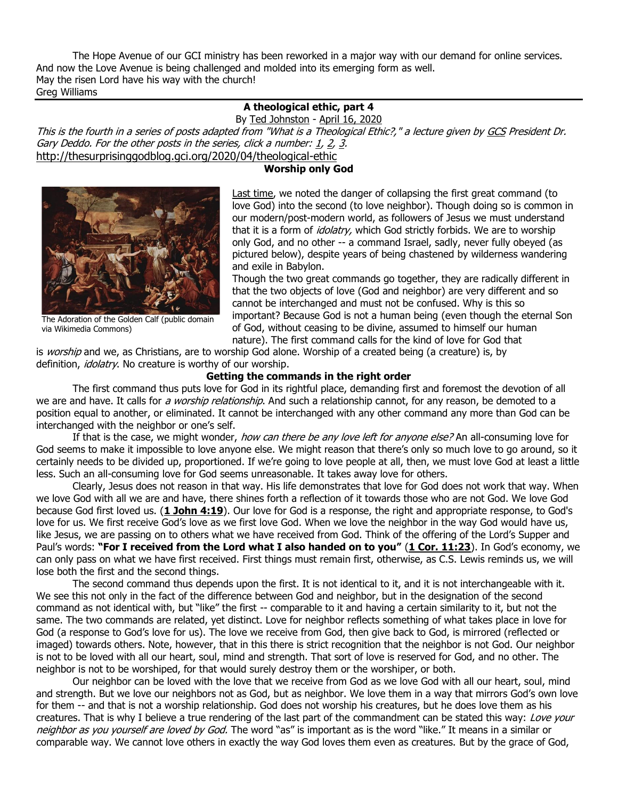The Hope Avenue of our GCI ministry has been reworked in a major way with our demand for online services. And now the Love Avenue is being challenged and molded into its emerging form as well. May the risen Lord have his way with the church! Greg Williams

# **A theological ethic, part 4**

By [Ted Johnston](https://www.blogger.com/profile/08677739021765621811) - [April 16, 2020](http://thesurprisinggodblog.gci.org/2020/04/theological-ethic-4.html) This is the fourth in a series of posts adapted from "What is a Theological Ethic?," a lecture given by [GCS](https://www.gcs.edu/) President Dr. Gary Deddo. For the other posts in the series, click a number:  $1, 2, 3$  $1, 2, 3$  $1, 2, 3$  $1, 2, 3$ . <http://thesurprisinggodblog.gci.org/2020/04/theological-ethic>

## **Worship only God**



The Adoration of the Golden Calf (public domain via Wikimedia Commons)

[Last time,](http://thesurprisinggodblog.gci.org/2020/04/theological-ethic-3.html) we noted the danger of collapsing the first great command (to love God) into the second (to love neighbor). Though doing so is common in our modern/post-modern world, as followers of Jesus we must understand that it is a form of *idolatry,* which God strictly forbids. We are to worship only God, and no other -- a command Israel, sadly, never fully obeyed (as pictured below), despite years of being chastened by wilderness wandering and exile in Babylon.

Though the two great commands go together, they are radically different in that the two objects of love (God and neighbor) are very different and so cannot be interchanged and must not be confused. Why is this so important? Because God is not a human being (even though the eternal Son of God, without ceasing to be divine, assumed to himself our human nature). The first command calls for the kind of love for God that

is *worship* and we, as Christians, are to worship God alone. Worship of a created being (a creature) is, by definition, *idolatry*. No creature is worthy of our worship.

### **Getting the commands in the right order**

The first command thus puts love for God in its rightful place, demanding first and foremost the devotion of all we are and have. It calls for a worship relationship. And such a relationship cannot, for any reason, be demoted to a position equal to another, or eliminated. It cannot be interchanged with any other command any more than God can be interchanged with the neighbor or one's self.

If that is the case, we might wonder, how can there be any love left for anyone else? An all-consuming love for God seems to make it impossible to love anyone else. We might reason that there's only so much love to go around, so it certainly needs to be divided up, proportioned. If we're going to love people at all, then, we must love God at least a little less. Such an all-consuming love for God seems unreasonable. It takes away love for others.

Clearly, Jesus does not reason in that way. His life demonstrates that love for God does not work that way. When we love God with all we are and have, there shines forth a reflection of it towards those who are not God. We love God because God first loved us. (**[1 John 4:19](https://biblia.com/bible/niv/1%20John%204.19)**). Our love for God is a response, the right and appropriate response, to God's love for us. We first receive God's love as we first love God. When we love the neighbor in the way God would have us, like Jesus, we are passing on to others what we have received from God. Think of the offering of the Lord's Supper and Paul's words: **"For I received from the Lord what I also handed on to you"** (**[1 Cor. 11:23](https://biblia.com/bible/niv/1%20Cor.%2011.23)**). In God's economy, we can only pass on what we have first received. First things must remain first, otherwise, as C.S. Lewis reminds us, we will lose both the first and the second things.

The second command thus depends upon the first. It is not identical to it, and it is not interchangeable with it. We see this not only in the fact of the difference between God and neighbor, but in the designation of the second command as not identical with, but "like" the first -- comparable to it and having a certain similarity to it, but not the same. The two commands are related, yet distinct. Love for neighbor reflects something of what takes place in love for God (a response to God's love for us). The love we receive from God, then give back to God, is mirrored (reflected or imaged) towards others. Note, however, that in this there is strict recognition that the neighbor is not God. Our neighbor is not to be loved with all our heart, soul, mind and strength. That sort of love is reserved for God, and no other. The neighbor is not to be worshiped, for that would surely destroy them or the worshiper, or both.

Our neighbor can be loved with the love that we receive from God as we love God with all our heart, soul, mind and strength. But we love our neighbors not as God, but as neighbor. We love them in a way that mirrors God's own love for them -- and that is not a worship relationship. God does not worship his creatures, but he does love them as his creatures. That is why I believe a true rendering of the last part of the commandment can be stated this way: Love your neighbor as you yourself are loved by God. The word "as" is important as is the word "like." It means in a similar or comparable way. We cannot love others in exactly the way God loves them even as creatures. But by the grace of God,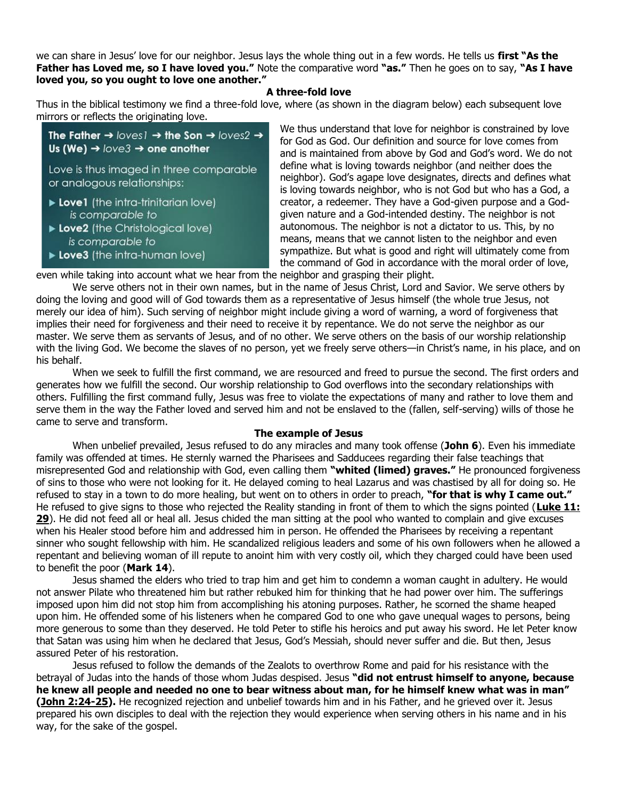we can share in Jesus' love for our neighbor. Jesus lays the whole thing out in a few words. He tells us **first "As the Father has Loved me, so I have loved you."** Note the comparative word **"as."** Then he goes on to say, **"As I have loved you, so you ought to love one another."**

#### **A three-fold love**

Thus in the biblical testimony we find a three-fold love, where (as shown in the diagram below) each subsequent love mirrors or reflects the originating love.

```
The Father \rightarrow loves \rightarrow the Son \rightarrow loves2 \rightarrowUs (We) \rightarrow love3 \rightarrow one another
Love is thus imaged in three comparable
or analogous relationships:
Love1 (the intra-trinitarian love)
     is comparable to
```
- Love2 (the Christological love) is comparable to
- Love3 (the intra-human love)

We thus understand that love for neighbor is constrained by love for God as God. Our definition and source for love comes from and is maintained from above by God and God's word. We do not define what is loving towards neighbor (and neither does the neighbor). God's agape love designates, directs and defines what is loving towards neighbor, who is not God but who has a God, a creator, a redeemer. They have a God-given purpose and a Godgiven nature and a God-intended destiny. The neighbor is not autonomous. The neighbor is not a dictator to us. This, by no means, means that we cannot listen to the neighbor and even sympathize. But what is good and right will ultimately come from the command of God in accordance with the moral order of love,

even while taking into account what we hear from the neighbor and grasping their plight.

We serve others not in their own names, but in the name of Jesus Christ, Lord and Savior. We serve others by doing the loving and good will of God towards them as a representative of Jesus himself (the whole true Jesus, not merely our idea of him). Such serving of neighbor might include giving a word of warning, a word of forgiveness that implies their need for forgiveness and their need to receive it by repentance. We do not serve the neighbor as our master. We serve them as servants of Jesus, and of no other. We serve others on the basis of our worship relationship with the living God. We become the slaves of no person, yet we freely serve others—in Christ's name, in his place, and on his behalf.

When we seek to fulfill the first command, we are resourced and freed to pursue the second. The first orders and generates how we fulfill the second. Our worship relationship to God overflows into the secondary relationships with others. Fulfilling the first command fully, Jesus was free to violate the expectations of many and rather to love them and serve them in the way the Father loved and served him and not be enslaved to the (fallen, self-serving) wills of those he came to serve and transform.

### **The example of Jesus**

When unbelief prevailed, Jesus refused to do any miracles and many took offense (**John 6**). Even his immediate family was offended at times. He sternly warned the Pharisees and Sadducees regarding their false teachings that misrepresented God and relationship with God, even calling them **"whited (limed) graves."** He pronounced forgiveness of sins to those who were not looking for it. He delayed coming to heal Lazarus and was chastised by all for doing so. He refused to stay in a town to do more healing, but went on to others in order to preach, **"for that is why I came out."** He refused to give signs to those who rejected the Reality standing in front of them to which the signs pointed (**[Luke 11:](https://biblia.com/bible/niv/Luke%2011.%2029)  [29](https://biblia.com/bible/niv/Luke%2011.%2029)**). He did not feed all or heal all. Jesus chided the man sitting at the pool who wanted to complain and give excuses when his Healer stood before him and addressed him in person. He offended the Pharisees by receiving a repentant sinner who sought fellowship with him. He scandalized religious leaders and some of his own followers when he allowed a repentant and believing woman of ill repute to anoint him with very costly oil, which they charged could have been used to benefit the poor (**Mark 14**).

Jesus shamed the elders who tried to trap him and get him to condemn a woman caught in adultery. He would not answer Pilate who threatened him but rather rebuked him for thinking that he had power over him. The sufferings imposed upon him did not stop him from accomplishing his atoning purposes. Rather, he scorned the shame heaped upon him. He offended some of his listeners when he compared God to one who gave unequal wages to persons, being more generous to some than they deserved. He told Peter to stifle his heroics and put away his sword. He let Peter know that Satan was using him when he declared that Jesus, God's Messiah, should never suffer and die. But then, Jesus assured Peter of his restoration.

Jesus refused to follow the demands of the Zealots to overthrow Rome and paid for his resistance with the betrayal of Judas into the hands of those whom Judas despised. Jesus **"did not entrust himself to anyone, because he knew all people and needed no one to bear witness about man, for he himself knew what was in man" [\(John 2:24-25\)](https://biblia.com/bible/niv/John%202.24-25).** He recognized rejection and unbelief towards him and in his Father, and he grieved over it. Jesus prepared his own disciples to deal with the rejection they would experience when serving others in his name and in his way, for the sake of the gospel.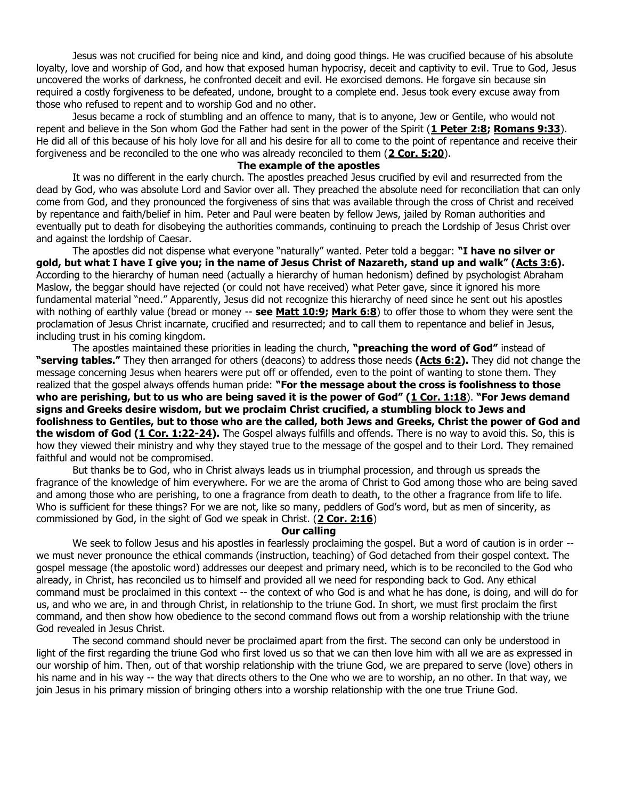Jesus was not crucified for being nice and kind, and doing good things. He was crucified because of his absolute loyalty, love and worship of God, and how that exposed human hypocrisy, deceit and captivity to evil. True to God, Jesus uncovered the works of darkness, he confronted deceit and evil. He exorcised demons. He forgave sin because sin required a costly forgiveness to be defeated, undone, brought to a complete end. Jesus took every excuse away from those who refused to repent and to worship God and no other.

Jesus became a rock of stumbling and an offence to many, that is to anyone, Jew or Gentile, who would not repent and believe in the Son whom God the Father had sent in the power of the Spirit (**[1 Peter 2:8;](https://biblia.com/bible/niv/1%20Pet%202.8) [Romans 9:33](https://biblia.com/bible/niv/Rom%209.33)**). He did all of this because of his holy love for all and his desire for all to come to the point of repentance and receive their forgiveness and be reconciled to the one who was already reconciled to them (**[2 Cor. 5:20](https://biblia.com/bible/niv/2%20Cor.%205.20)**).

#### **The example of the apostles**

It was no different in the early church. The apostles preached Jesus crucified by evil and resurrected from the dead by God, who was absolute Lord and Savior over all. They preached the absolute need for reconciliation that can only come from God, and they pronounced the forgiveness of sins that was available through the cross of Christ and received by repentance and faith/belief in him. Peter and Paul were beaten by fellow Jews, jailed by Roman authorities and eventually put to death for disobeying the authorities commands, continuing to preach the Lordship of Jesus Christ over and against the lordship of Caesar.

The apostles did not dispense what everyone "naturally" wanted. Peter told a beggar: **"I have no silver or gold, but what I have I give you; in the name of Jesus Christ of Nazareth, stand up and walk" ([Acts 3:6\)](https://biblia.com/bible/niv/Acts%203.6).** According to the hierarchy of human need (actually a hierarchy of human hedonism) defined by psychologist Abraham Maslow, the beggar should have rejected (or could not have received) what Peter gave, since it ignored his more fundamental material "need." Apparently, Jesus did not recognize this hierarchy of need since he sent out his apostles with nothing of earthly value (bread or money -- **see [Matt 10:9;](https://biblia.com/bible/niv/Matt%2010.9) [Mark 6:8](https://biblia.com/bible/niv/Mark%206.8)**) to offer those to whom they were sent the proclamation of Jesus Christ incarnate, crucified and resurrected; and to call them to repentance and belief in Jesus, including trust in his coming kingdom.

The apostles maintained these priorities in leading the church, **"preaching the word of God"** instead of **"serving tables."** They then arranged for others (deacons) to address those needs **[\(Acts 6:2\)](https://biblia.com/bible/niv/Acts%206.2).** They did not change the message concerning Jesus when hearers were put off or offended, even to the point of wanting to stone them. They realized that the gospel always offends human pride: **"For the message about the cross is foolishness to those who are perishing, but to us who are being saved it is the power of God" ([1 Cor. 1:18](https://biblia.com/bible/niv/1%20Cor.%201.18)**). **"For Jews demand signs and Greeks desire wisdom, but we proclaim Christ crucified, a stumbling block to Jews and foolishness to Gentiles, but to those who are the called, both Jews and Greeks, Christ the power of God and the wisdom of God [\(1 Cor. 1:22-24\)](https://biblia.com/bible/niv/1%20Cor.%201.22-24).** The Gospel always fulfills and offends. There is no way to avoid this. So, this is how they viewed their ministry and why they stayed true to the message of the gospel and to their Lord. They remained faithful and would not be compromised.

But thanks be to God, who in Christ always leads us in triumphal procession, and through us spreads the fragrance of the knowledge of him everywhere. For we are the aroma of Christ to God among those who are being saved and among those who are perishing, to one a fragrance from death to death, to the other a fragrance from life to life. Who is sufficient for these things? For we are not, like so many, peddlers of God's word, but as men of sincerity, as commissioned by God, in the sight of God we speak in Christ. (**[2 Cor. 2:16](https://biblia.com/bible/niv/2%20Cor.%202.16)**)

#### **Our calling**

We seek to follow Jesus and his apostles in fearlessly proclaiming the gospel. But a word of caution is in order -we must never pronounce the ethical commands (instruction, teaching) of God detached from their gospel context. The gospel message (the apostolic word) addresses our deepest and primary need, which is to be reconciled to the God who already, in Christ, has reconciled us to himself and provided all we need for responding back to God. Any ethical command must be proclaimed in this context -- the context of who God is and what he has done, is doing, and will do for us, and who we are, in and through Christ, in relationship to the triune God. In short, we must first proclaim the first command, and then show how obedience to the second command flows out from a worship relationship with the triune God revealed in Jesus Christ.

The second command should never be proclaimed apart from the first. The second can only be understood in light of the first regarding the triune God who first loved us so that we can then love him with all we are as expressed in our worship of him. Then, out of that worship relationship with the triune God, we are prepared to serve (love) others in his name and in his way -- the way that directs others to the One who we are to worship, an no other. In that way, we join Jesus in his primary mission of bringing others into a worship relationship with the one true Triune God.